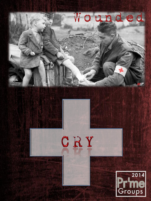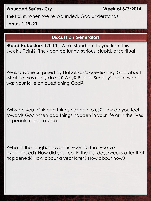## **Wounded Series- Cry Week of 3/2/2014**

**The Point:** When We're Wounded, God Understands **James 1:19-21**

## **Discussion Generators**

•**Read Habakkuk 1:1-11.** What stood out to you from this week's Point? (they can be funny, serious, stupid, or spiritual)

•Was anyone surprised by Habakkuk's questioning God about what he was really doing? Why? Prior to Sunday's point what was your take on questioning God?

•Why do you think bad things happen to us? How do you feel towards God when bad things happen in your life or in the lives of people close to you?

•What is the toughest event in your life that you've experienced? How did you feel in the first days/weeks after that happened? How about a year later? How about now?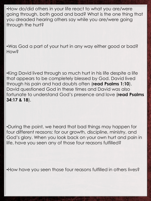•How do/did others in your life react to what you are/were going through, both good and bad? What is the one thing that you dreaded hearing others say while you are/were going through the hurt?

•Was God a part of your hurt in any way either good or bad? **How?** 

•King David lived through so much hurt in his life despite a life that appears to be completely blessed by God. David lived through his pain and had doubts often (**read Psalms 1:10**). David questioned God in these times and David was also fortunate to understand God's presence and love (**read Psalms 34:17 & 18**).

•During the point, we heard that bad things may happen for four different reasons: for our growth, discipline, ministry, and God's glory. When you look back on your own hurt and pain in life, have you seen any of those four reasons fulfilled?

•How have you seen those four reasons fulfilled in others lives?